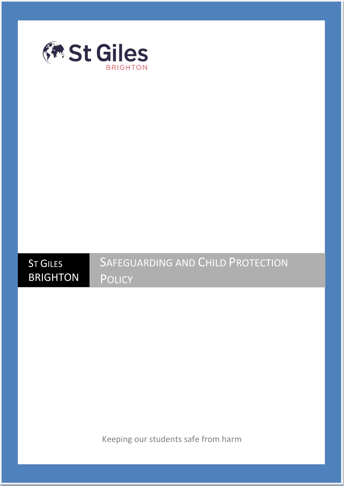

**ST GILES** 

**BRIGHTON** 

## SAFEGUARDING AND CHILD PROTECTION **POLICY**

Keeping our students safe from harm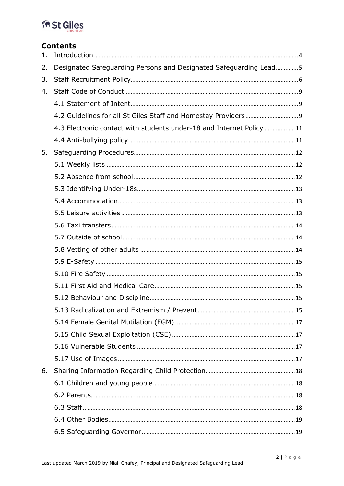## **Ex St Giles**

#### **Contents**

| 1. |                                                                      |  |
|----|----------------------------------------------------------------------|--|
| 2. | Designated Safeguarding Persons and Designated Safeguarding Lead5    |  |
| 3. |                                                                      |  |
| 4. |                                                                      |  |
|    |                                                                      |  |
|    |                                                                      |  |
|    | 4.3 Electronic contact with students under-18 and Internet Policy 11 |  |
|    |                                                                      |  |
| 5. |                                                                      |  |
|    |                                                                      |  |
|    |                                                                      |  |
|    |                                                                      |  |
|    |                                                                      |  |
|    |                                                                      |  |
|    |                                                                      |  |
|    |                                                                      |  |
|    |                                                                      |  |
|    |                                                                      |  |
|    |                                                                      |  |
|    |                                                                      |  |
|    |                                                                      |  |
|    |                                                                      |  |
|    |                                                                      |  |
|    |                                                                      |  |
|    |                                                                      |  |
|    |                                                                      |  |
| 6. |                                                                      |  |
|    |                                                                      |  |
|    |                                                                      |  |
|    |                                                                      |  |
|    |                                                                      |  |
|    |                                                                      |  |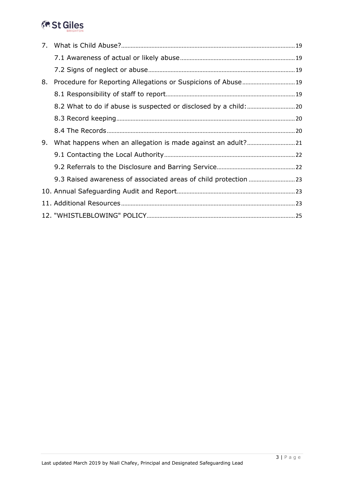## **Ex St Giles**

| 8. |  |
|----|--|
|    |  |
|    |  |
|    |  |
|    |  |
| 9. |  |
|    |  |
|    |  |
|    |  |
|    |  |
|    |  |
|    |  |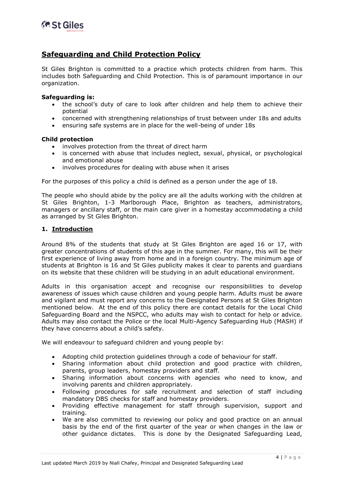

#### **Safeguarding and Child Protection Policy**

St Giles Brighton is committed to a practice which protects children from harm. This includes both Safeguarding and Child Protection. This is of paramount importance in our organization.

#### **Safeguarding is:**

- the school's duty of care to look after children and help them to achieve their potential
- concerned with strengthening relationships of trust between under 18s and adults
- ensuring safe systems are in place for the well-being of under 18s

#### **Child protection**

- involves protection from the threat of direct harm
- is concerned with abuse that includes neglect, sexual, physical, or psychological and emotional abuse
- involves procedures for dealing with abuse when it arises

For the purposes of this policy a child is defined as a person under the age of 18.

The people who should abide by the policy are all the adults working with the children at St Giles Brighton, 1-3 Marlborough Place, Brighton as teachers, administrators, managers or ancillary staff, or the main care giver in a homestay accommodating a child as arranged by St Giles Brighton.

#### <span id="page-3-0"></span>**1. Introduction**

Around 8% of the students that study at St Giles Brighton are aged 16 or 17, with greater concentrations of students of this age in the summer. For many, this will be their first experience of living away from home and in a foreign country. The minimum age of students at Brighton is 16 and St Giles publicity makes it clear to parents and guardians on its website that these children will be studying in an adult educational environment.

Adults in this organisation accept and recognise our responsibilities to develop awareness of issues which cause children and young people harm. Adults must be aware and vigilant and must report any concerns to the Designated Persons at St Giles Brighton mentioned below. At the end of this policy there are contact details for the Local Child Safeguarding Board and the NSPCC, who adults may wish to contact for help or advice. Adults may also contact the Police or the local Multi-Agency Safeguarding Hub (MASH) if they have concerns about a child's safety.

We will endeavour to safeguard children and young people by:

- Adopting child protection guidelines through a code of behaviour for staff.
- Sharing information about child protection and good practice with children, parents, group leaders, homestay providers and staff.
- Sharing information about concerns with agencies who need to know, and involving parents and children appropriately.
- Following procedures for safe recruitment and selection of staff including mandatory DBS checks for staff and homestay providers.
- Providing effective management for staff through supervision, support and training.
- We are also committed to reviewing our policy and good practice on an annual basis by the end of the first quarter of the year or when changes in the law or other guidance dictates. This is done by the Designated Safeguarding Lead,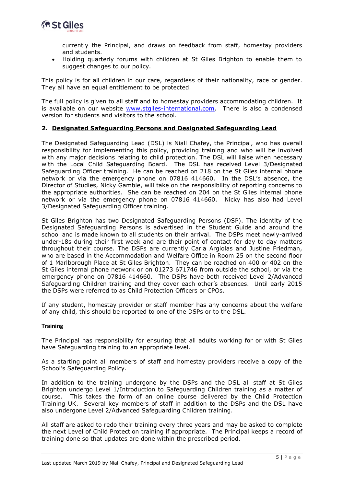

currently the Principal, and draws on feedback from staff, homestay providers and students.

 Holding quarterly forums with children at St Giles Brighton to enable them to suggest changes to our policy.

This policy is for all children in our care, regardless of their nationality, race or gender. They all have an equal entitlement to be protected.

The full policy is given to all staff and to homestay providers accommodating children. It is available on our website [www.stgiles-international.com.](http://www.stgiles-international.com/) There is also a condensed version for students and visitors to the school.

#### <span id="page-4-0"></span>**2. Designated Safeguarding Persons and Designated Safeguarding Lead**

The Designated Safeguarding Lead (DSL) is Niall Chafey, the Principal, who has overall responsibility for implementing this policy, providing training and who will be involved with any major decisions relating to child protection. The DSL will liaise when necessary with the Local Child Safeguarding Board. The DSL has received Level 3/Designated Safeguarding Officer training. He can be reached on 218 on the St Giles internal phone network or via the emergency phone on 07816 414660. In the DSL's absence, the Director of Studies, Nicky Gamble, will take on the responsibility of reporting concerns to the appropriate authorities. She can be reached on 204 on the St Giles internal phone network or via the emergency phone on 07816 414660. Nicky has also had Level 3/Designated Safeguarding Officer training.

St Giles Brighton has two Designated Safeguarding Persons (DSP). The identity of the Designated Safeguarding Persons is advertised in the Student Guide and around the school and is made known to all students on their arrival. The DSPs meet newly-arrived under-18s during their first week and are their point of contact for day to day matters throughout their course. The DSPs are currently Carla Argiolas and Justine Friedman, who are based in the Accommodation and Welfare Office in Room 25 on the second floor of 1 Marlborough Place at St Giles Brighton. They can be reached on 400 or 402 on the St Giles internal phone network or on 01273 671746 from outside the school, or via the emergency phone on 07816 414660. The DSPs have both received Level 2/Advanced Safeguarding Children training and they cover each other's absences. Until early 2015 the DSPs were referred to as Child Protection Officers or CPOs.

If any student, homestay provider or staff member has any concerns about the welfare of any child, this should be reported to one of the DSPs or to the DSL.

#### **Training**

The Principal has responsibility for ensuring that all adults working for or with St Giles have Safeguarding training to an appropriate level.

As a starting point all members of staff and homestay providers receive a copy of the School's Safeguarding Policy.

In addition to the training undergone by the DSPs and the DSL all staff at St Giles Brighton undergo Level 1/Introduction to Safeguarding Children training as a matter of course. This takes the form of an online course delivered by the Child Protection Training UK. Several key members of staff in addition to the DSPs and the DSL have also undergone Level 2/Advanced Safeguarding Children training.

All staff are asked to redo their training every three years and may be asked to complete the next Level of Child Protection training if appropriate. The Principal keeps a record of training done so that updates are done within the prescribed period.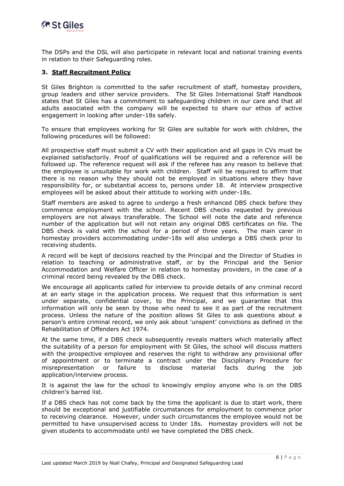

The DSPs and the DSL will also participate in relevant local and national training events in relation to their Safeguarding roles.

#### <span id="page-5-0"></span>**3. Staff Recruitment Policy**

St Giles Brighton is committed to the safer recruitment of staff, homestay providers, group leaders and other service providers. The St Giles International Staff Handbook states that St Giles has a commitment to safeguarding children in our care and that all adults associated with the company will be expected to share our ethos of active engagement in looking after under-18s safely.

To ensure that employees working for St Giles are suitable for work with children, the following procedures will be followed:

All prospective staff must submit a CV with their application and all gaps in CVs must be explained satisfactorily. Proof of qualifications will be required and a reference will be followed up. The reference request will ask if the referee has any reason to believe that the employee is unsuitable for work with children. Staff will be required to affirm that there is no reason why they should not be employed in situations where they have responsibility for, or substantial access to, persons under 18. At interview prospective employees will be asked about their attitude to working with under-18s.

Staff members are asked to agree to undergo a fresh enhanced DBS check before they commence employment with the school. Recent DBS checks requested by previous employers are not always transferable. The School will note the date and reference number of the application but will not retain any original DBS certificates on file. The DBS check is valid with the school for a period of three years. The main carer in homestay providers accommodating under-18s will also undergo a DBS check prior to receiving students.

A record will be kept of decisions reached by the Principal and the Director of Studies in relation to teaching or administrative staff, or by the Principal and the Senior Accommodation and Welfare Officer in relation to homestay providers, in the case of a criminal record being revealed by the DBS check.

We encourage all applicants called for interview to provide details of any criminal record at an early stage in the application process. We request that this information is sent under separate, confidential cover, to the Principal, and we guarantee that this information will only be seen by those who need to see it as part of the recruitment process. Unless the nature of the position allows St Giles to ask questions about a person's entire criminal record, we only ask about 'unspent' convictions as defined in the Rehabilitation of Offenders Act 1974.

At the same time, if a DBS check subsequently reveals matters which materially affect the suitability of a person for employment with St Giles, the school will discuss matters with the prospective employee and reserves the right to withdraw any provisional offer of appointment or to terminate a contract under the Disciplinary Procedure for misrepresentation or failure to disclose material facts during the job application/interview process.

It is against the law for the school to knowingly employ anyone who is on the DBS children's barred list.

If a DBS check has not come back by the time the applicant is due to start work, there should be exceptional and justifiable circumstances for employment to commence prior to receiving clearance. However, under such circumstances the employee would not be permitted to have unsupervised access to Under 18s. Homestay providers will not be given students to accommodate until we have completed the DBS check.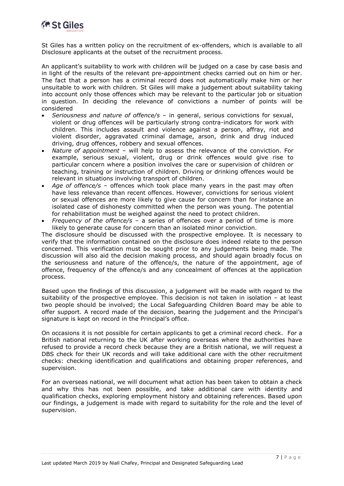

St Giles has a written policy on the recruitment of ex-offenders, which is available to all Disclosure applicants at the outset of the recruitment process.

An applicant's suitability to work with children will be judged on a case by case basis and in light of the results of the relevant pre-appointment checks carried out on him or her. The fact that a person has a criminal record does not automatically make him or her unsuitable to work with children. St Giles will make a judgement about suitability taking into account only those offences which may be relevant to the particular job or situation in question. In deciding the relevance of convictions a number of points will be considered

- *Seriousness and nature of offence/s* in general, serious convictions for sexual, violent or drug offences will be particularly strong contra-indicators for work with children. This includes assault and violence against a person, affray, riot and violent disorder, aggravated criminal damage, arson, drink and drug induced driving, drug offences, robbery and sexual offences.
- *Nature of appointment* will help to assess the relevance of the conviction. For example, serious sexual, violent, drug or drink offences would give rise to particular concern where a position involves the care or supervision of children or teaching, training or instruction of children. Driving or drinking offences would be relevant in situations involving transport of children.
- *Age of offence/s* offences which took place many years in the past may often have less relevance than recent offences. However, convictions for serious violent or sexual offences are more likely to give cause for concern than for instance an isolated case of dishonesty committed when the person was young. The potential for rehabilitation must be weighed against the need to protect children.
- *Frequency of the offence/s* a series of offences over a period of time is more likely to generate cause for concern than an isolated minor conviction.

The disclosure should be discussed with the prospective employee. It is necessary to verify that the information contained on the disclosure does indeed relate to the person concerned. This verification must be sought prior to any judgements being made. The discussion will also aid the decision making process, and should again broadly focus on the seriousness and nature of the offence/s, the nature of the appointment, age of offence, frequency of the offence/s and any concealment of offences at the application process.

Based upon the findings of this discussion, a judgement will be made with regard to the suitability of the prospective employee. This decision is not taken in isolation – at least two people should be involved; the Local Safeguarding Children Board may be able to offer support. A record made of the decision, bearing the judgement and the Principal's signature is kept on record in the Principal's office.

On occasions it is not possible for certain applicants to get a criminal record check. For a British national returning to the UK after working overseas where the authorities have refused to provide a record check because they are a British national, we will request a DBS check for their UK records and will take additional care with the other recruitment checks: checking identification and qualifications and obtaining proper references, and supervision.

For an overseas national, we will document what action has been taken to obtain a check and why this has not been possible, and take additional care with identity and qualification checks, exploring employment history and obtaining references. Based upon our findings, a judgement is made with regard to suitability for the role and the level of supervision.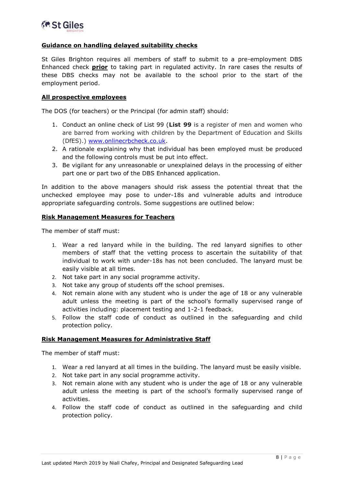#### **Guidance on handling delayed suitability checks**

St Giles Brighton requires all members of staff to submit to a pre-employment DBS Enhanced check **prior** to taking part in regulated activity. In rare cases the results of these DBS checks may not be available to the school prior to the start of the employment period.

#### **All prospective employees**

The DOS (for teachers) or the Principal (for admin staff) should:

- 1. Conduct an online check of List 99 (**List 99** is a register of men and women who are barred from working with children by the Department of Education and Skills (DfES).) [www.onlinecrbcheck.co.uk.](http://www.onlinecrbcheck.co.uk/)
- 2. A rationale explaining why that individual has been employed must be produced and the following controls must be put into effect.
- 3. Be vigilant for any unreasonable or unexplained delays in the processing of either part one or part two of the DBS Enhanced application.

In addition to the above managers should risk assess the potential threat that the unchecked employee may pose to under-18s and vulnerable adults and introduce appropriate safeguarding controls. Some suggestions are outlined below:

#### **Risk Management Measures for Teachers**

The member of staff must:

- 1. Wear a red lanyard while in the building. The red lanyard signifies to other members of staff that the vetting process to ascertain the suitability of that individual to work with under-18s has not been concluded. The lanyard must be easily visible at all times.
- 2. Not take part in any social programme activity.
- 3. Not take any group of students off the school premises.
- 4. Not remain alone with any student who is under the age of 18 or any vulnerable adult unless the meeting is part of the school's formally supervised range of activities including: placement testing and 1-2-1 feedback.
- 5. Follow the staff code of conduct as outlined in the safeguarding and child protection policy.

#### **Risk Management Measures for Administrative Staff**

The member of staff must:

- 1. Wear a red lanyard at all times in the building. The lanyard must be easily visible.
- 2. Not take part in any social programme activity.
- 3. Not remain alone with any student who is under the age of 18 or any vulnerable adult unless the meeting is part of the school's formally supervised range of activities.
- 4. Follow the staff code of conduct as outlined in the safeguarding and child protection policy.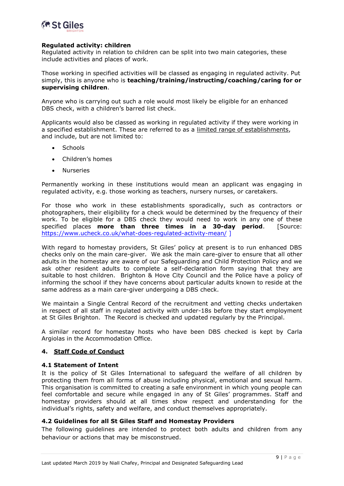

#### **Regulated activity: children**

Regulated activity in relation to children can be split into two main categories, these include activities and places of work.

Those working in specified activities will be classed as engaging in regulated activity. Put simply, this is anyone who is **teaching/training/instructing/coaching/caring for or supervising children**.

Anyone who is carrying out such a role would most likely be eligible for an enhanced DBS check, with a children's barred list check.

Applicants would also be classed as working in regulated activity if they were working in a specified establishment. These are referred to as a limited range of [establishments,](https://www.gov.uk/government/uploads/system/uploads/attachment_data/file/550197/Regulated_activity_in_relation_to_children.pdf) and include, but are not limited to:

- **Schools**
- Children's homes
- Nurseries

Permanently working in these institutions would mean an applicant was engaging in regulated activity, e.g. those working as teachers, nursery nurses, or caretakers.

For those who work in these establishments sporadically, such as contractors or photographers, their eligibility for a check would be determined by the frequency of their work. To be eligible for a DBS check they would need to work in any one of these specified places **more than three times in a 30-day period**. [Source: <https://www.ucheck.co.uk/what-does-regulated-activity-mean/> ]

With regard to homestay providers, St Giles' policy at present is to run enhanced DBS checks only on the main care-giver. We ask the main care-giver to ensure that all other adults in the homestay are aware of our Safeguarding and Child Protection Policy and we ask other resident adults to complete a self-declaration form saying that they are suitable to host children. Brighton & Hove City Council and the Police have a policy of informing the school if they have concerns about particular adults known to reside at the same address as a main care-giver undergoing a DBS check.

We maintain a Single Central Record of the recruitment and vetting checks undertaken in respect of all staff in regulated activity with under-18s before they start employment at St Giles Brighton. The Record is checked and updated regularly by the Principal.

A similar record for homestay hosts who have been DBS checked is kept by Carla Argiolas in the Accommodation Office.

#### <span id="page-8-0"></span>**4. Staff Code of Conduct**

#### <span id="page-8-1"></span>**4.1 Statement of Intent**

It is the policy of St Giles International to safeguard the welfare of all children by protecting them from all forms of abuse including physical, emotional and sexual harm. This organisation is committed to creating a safe environment in which young people can feel comfortable and secure while engaged in any of St Giles' programmes. Staff and homestay providers should at all times show respect and understanding for the individual's rights, safety and welfare, and conduct themselves appropriately.

#### <span id="page-8-2"></span>**4.2 Guidelines for all St Giles Staff and Homestay Providers**

The following guidelines are intended to protect both adults and children from any behaviour or actions that may be misconstrued.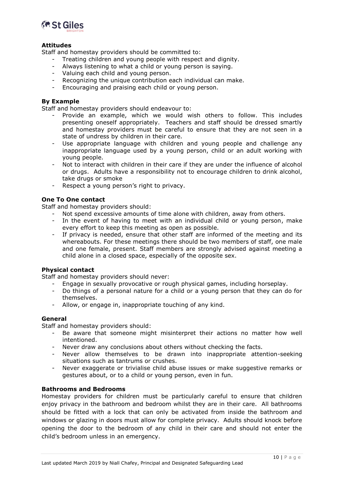

#### **Attitudes**

Staff and homestay providers should be committed to:

- Treating children and young people with respect and dignity.
- Always listening to what a child or young person is saying.
- Valuing each child and young person.
- Recognizing the unique contribution each individual can make.
- Encouraging and praising each child or young person.

#### **By Example**

Staff and homestay providers should endeavour to:

- Provide an example, which we would wish others to follow. This includes presenting oneself appropriately. Teachers and staff should be dressed smartly and homestay providers must be careful to ensure that they are not seen in a state of undress by children in their care.
- Use appropriate language with children and young people and challenge any inappropriate language used by a young person, child or an adult working with young people.
- Not to interact with children in their care if they are under the influence of alcohol or drugs. Adults have a responsibility not to encourage children to drink alcohol, take drugs or smoke
- Respect a young person's right to privacy.

#### **One To One contact**

Staff and homestay providers should:

- Not spend excessive amounts of time alone with children, away from others.
- In the event of having to meet with an individual child or young person, make every effort to keep this meeting as open as possible.
- If privacy is needed, ensure that other staff are informed of the meeting and its whereabouts. For these meetings there should be two members of staff, one male and one female, present. Staff members are strongly advised against meeting a child alone in a closed space, especially of the opposite sex.

#### **Physical contact**

Staff and homestay providers should never:

- Engage in sexually provocative or rough physical games, including horseplay.
- Do things of a personal nature for a child or a young person that they can do for themselves.
- Allow, or engage in, inappropriate touching of any kind.

#### **General**

Staff and homestay providers should:

- Be aware that someone might misinterpret their actions no matter how well intentioned.
- Never draw any conclusions about others without checking the facts.
- Never allow themselves to be drawn into inappropriate attention-seeking situations such as tantrums or crushes.
- Never exaggerate or trivialise child abuse issues or make suggestive remarks or gestures about, or to a child or young person, even in fun.

#### **Bathrooms and Bedrooms**

Homestay providers for children must be particularly careful to ensure that children enjoy privacy in the bathroom and bedroom whilst they are in their care. All bathrooms should be fitted with a lock that can only be activated from inside the bathroom and windows or glazing in doors must allow for complete privacy. Adults should knock before opening the door to the bedroom of any child in their care and should not enter the child's bedroom unless in an emergency.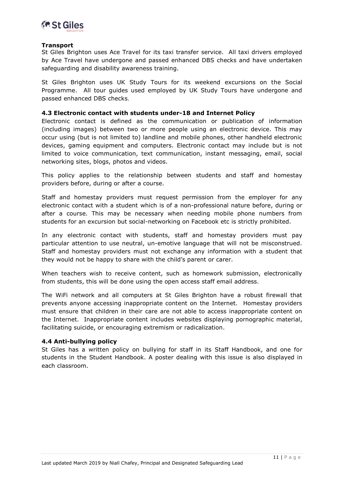

#### **Transport**

St Giles Brighton uses Ace Travel for its taxi transfer service. All taxi drivers employed by Ace Travel have undergone and passed enhanced DBS checks and have undertaken safeguarding and disability awareness training.

St Giles Brighton uses UK Study Tours for its weekend excursions on the Social Programme. All tour guides used employed by UK Study Tours have undergone and passed enhanced DBS checks.

#### <span id="page-10-0"></span>**4.3 Electronic contact with students under-18 and Internet Policy**

Electronic contact is defined as the communication or publication of information (including images) between two or more people using an electronic device. This may occur using (but is not limited to) landline and mobile phones, other handheld electronic devices, gaming equipment and computers. Electronic contact may include but is not limited to voice communication, text communication, instant messaging, email, social networking sites, blogs, photos and videos.

This policy applies to the relationship between students and staff and homestay providers before, during or after a course.

Staff and homestay providers must request permission from the employer for any electronic contact with a student which is of a non-professional nature before, during or after a course. This may be necessary when needing mobile phone numbers from students for an excursion but social-networking on Facebook etc is strictly prohibited.

In any electronic contact with students, staff and homestay providers must pay particular attention to use neutral, un-emotive language that will not be misconstrued. Staff and homestay providers must not exchange any information with a student that they would not be happy to share with the child's parent or carer.

When teachers wish to receive content, such as homework submission, electronically from students, this will be done using the open access staff email address.

The WiFi network and all computers at St Giles Brighton have a robust firewall that prevents anyone accessing inappropriate content on the Internet. Homestay providers must ensure that children in their care are not able to access inappropriate content on the Internet. Inappropriate content includes websites displaying pornographic material, facilitating suicide, or encouraging extremism or radicalization.

#### <span id="page-10-1"></span>**4.4 Anti-bullying policy**

St Giles has a written policy on bullying for staff in its Staff Handbook, and one for students in the Student Handbook. A poster dealing with this issue is also displayed in each classroom.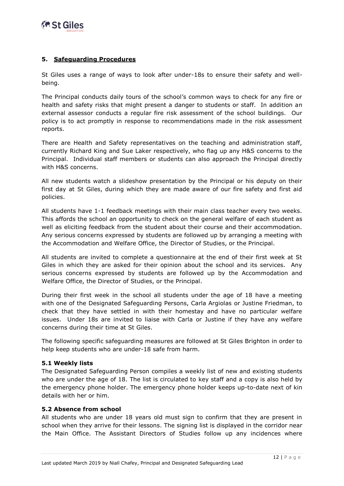

#### <span id="page-11-0"></span>**5. Safeguarding Procedures**

St Giles uses a range of ways to look after under-18s to ensure their safety and wellbeing.

The Principal conducts daily tours of the school's common ways to check for any fire or health and safety risks that might present a danger to students or staff. In addition an external assessor conducts a regular fire risk assessment of the school buildings. Our policy is to act promptly in response to recommendations made in the risk assessment reports.

There are Health and Safety representatives on the teaching and administration staff, currently Richard King and Sue Laker respectively, who flag up any H&S concerns to the Principal. Individual staff members or students can also approach the Principal directly with H&S concerns.

All new students watch a slideshow presentation by the Principal or his deputy on their first day at St Giles, during which they are made aware of our fire safety and first aid policies.

All students have 1-1 feedback meetings with their main class teacher every two weeks. This affords the school an opportunity to check on the general welfare of each student as well as eliciting feedback from the student about their course and their accommodation. Any serious concerns expressed by students are followed up by arranging a meeting with the Accommodation and Welfare Office, the Director of Studies, or the Principal.

All students are invited to complete a questionnaire at the end of their first week at St Giles in which they are asked for their opinion about the school and its services. Any serious concerns expressed by students are followed up by the Accommodation and Welfare Office, the Director of Studies, or the Principal.

During their first week in the school all students under the age of 18 have a meeting with one of the Designated Safeguarding Persons, Carla Argiolas or Justine Friedman, to check that they have settled in with their homestay and have no particular welfare issues. Under 18s are invited to liaise with Carla or Justine if they have any welfare concerns during their time at St Giles.

The following specific safeguarding measures are followed at St Giles Brighton in order to help keep students who are under-18 safe from harm.

#### <span id="page-11-1"></span>**5.1 Weekly lists**

The Designated Safeguarding Person compiles a weekly list of new and existing students who are under the age of 18. The list is circulated to key staff and a copy is also held by the emergency phone holder. The emergency phone holder keeps up-to-date next of kin details with her or him.

#### <span id="page-11-2"></span>**5.2 Absence from school**

All students who are under 18 years old must sign to confirm that they are present in school when they arrive for their lessons. The signing list is displayed in the corridor near the Main Office. The Assistant Directors of Studies follow up any incidences where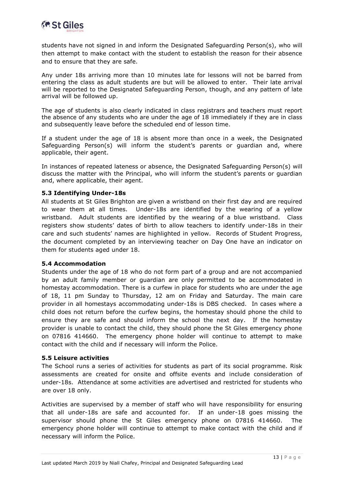

students have not signed in and inform the Designated Safeguarding Person(s), who will then attempt to make contact with the student to establish the reason for their absence and to ensure that they are safe.

Any under 18s arriving more than 10 minutes late for lessons will not be barred from entering the class as adult students are but will be allowed to enter. Their late arrival will be reported to the Designated Safeguarding Person, though, and any pattern of late arrival will be followed up.

The age of students is also clearly indicated in class registrars and teachers must report the absence of any students who are under the age of 18 immediately if they are in class and subsequently leave before the scheduled end of lesson time.

If a student under the age of 18 is absent more than once in a week, the Designated Safeguarding Person(s) will inform the student's parents or guardian and, where applicable, their agent.

In instances of repeated lateness or absence, the Designated Safeguarding Person(s) will discuss the matter with the Principal, who will inform the student's parents or guardian and, where applicable, their agent.

#### <span id="page-12-0"></span>**5.3 Identifying Under-18s**

All students at St Giles Brighton are given a wristband on their first day and are required to wear them at all times. Under-18s are identified by the wearing of a yellow wristband. Adult students are identified by the wearing of a blue wristband. Class registers show students' dates of birth to allow teachers to identify under-18s in their care and such students' names are highlighted in yellow. Records of Student Progress, the document completed by an interviewing teacher on Day One have an indicator on them for students aged under 18.

#### <span id="page-12-1"></span>**5.4 Accommodation**

Students under the age of 18 who do not form part of a group and are not accompanied by an adult family member or guardian are only permitted to be accommodated in homestay accommodation. There is a curfew in place for students who are under the age of 18, 11 pm Sunday to Thursday, 12 am on Friday and Saturday. The main care provider in all homestays accommodating under-18s is DBS checked. In cases where a child does not return before the curfew begins, the homestay should phone the child to ensure they are safe and should inform the school the next day. If the homestay provider is unable to contact the child, they should phone the St Giles emergency phone on 07816 414660. The emergency phone holder will continue to attempt to make contact with the child and if necessary will inform the Police.

#### <span id="page-12-2"></span>**5.5 Leisure activities**

The School runs a series of activities for students as part of its social programme. Risk assessments are created for onsite and offsite events and include consideration of under-18s. Attendance at some activities are advertised and restricted for students who are over 18 only.

Activities are supervised by a member of staff who will have responsibility for ensuring that all under-18s are safe and accounted for. If an under-18 goes missing the supervisor should phone the St Giles emergency phone on 07816 414660. The emergency phone holder will continue to attempt to make contact with the child and if necessary will inform the Police.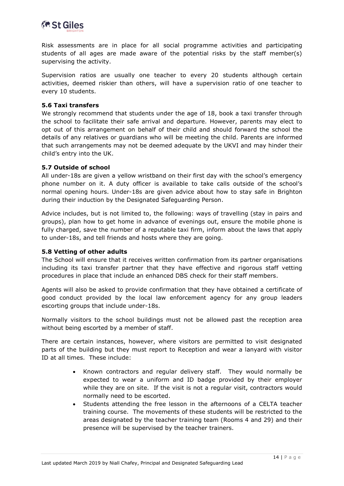

Risk assessments are in place for all social programme activities and participating students of all ages are made aware of the potential risks by the staff member(s) supervising the activity.

Supervision ratios are usually one teacher to every 20 students although certain activities, deemed riskier than others, will have a supervision ratio of one teacher to every 10 students.

#### <span id="page-13-0"></span>**5.6 Taxi transfers**

We strongly recommend that students under the age of 18, book a taxi transfer through the school to facilitate their safe arrival and departure. However, parents may elect to opt out of this arrangement on behalf of their child and should forward the school the details of any relatives or guardians who will be meeting the child. Parents are informed that such arrangements may not be deemed adequate by the UKVI and may hinder their child's entry into the UK.

#### <span id="page-13-1"></span>**5.7 Outside of school**

All under-18s are given a yellow wristband on their first day with the school's emergency phone number on it. A duty officer is available to take calls outside of the school's normal opening hours. Under-18s are given advice about how to stay safe in Brighton during their induction by the Designated Safeguarding Person.

Advice includes, but is not limited to, the following: ways of travelling (stay in pairs and groups), plan how to get home in advance of evenings out, ensure the mobile phone is fully charged, save the number of a reputable taxi firm, inform about the laws that apply to under-18s, and tell friends and hosts where they are going.

#### <span id="page-13-2"></span>**5.8 Vetting of other adults**

The School will ensure that it receives written confirmation from its partner organisations including its taxi transfer partner that they have effective and rigorous staff vetting procedures in place that include an enhanced DBS check for their staff members.

Agents will also be asked to provide confirmation that they have obtained a certificate of good conduct provided by the local law enforcement agency for any group leaders escorting groups that include under-18s.

Normally visitors to the school buildings must not be allowed past the reception area without being escorted by a member of staff.

There are certain instances, however, where visitors are permitted to visit designated parts of the building but they must report to Reception and wear a lanyard with visitor ID at all times. These include:

- Known contractors and regular delivery staff. They would normally be expected to wear a uniform and ID badge provided by their employer while they are on site. If the visit is not a regular visit, contractors would normally need to be escorted.
- Students attending the free lesson in the afternoons of a CELTA teacher training course. The movements of these students will be restricted to the areas designated by the teacher training team (Rooms 4 and 29) and their presence will be supervised by the teacher trainers.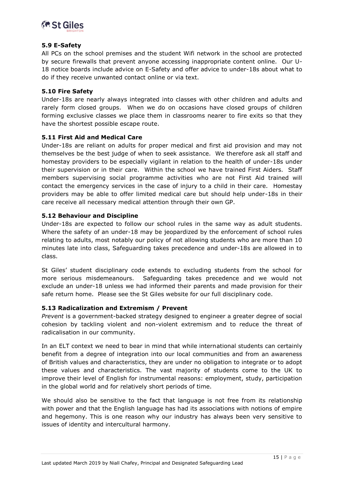

#### <span id="page-14-0"></span>**5.9 E-Safety**

All PCs on the school premises and the student Wifi network in the school are protected by secure firewalls that prevent anyone accessing inappropriate content online. Our U-18 notice boards include advice on E-Safety and offer advice to under-18s about what to do if they receive unwanted contact online or via text.

#### <span id="page-14-1"></span>**5.10 Fire Safety**

Under-18s are nearly always integrated into classes with other children and adults and rarely form closed groups. When we do on occasions have closed groups of children forming exclusive classes we place them in classrooms nearer to fire exits so that they have the shortest possible escape route.

#### <span id="page-14-2"></span>**5.11 First Aid and Medical Care**

Under-18s are reliant on adults for proper medical and first aid provision and may not themselves be the best judge of when to seek assistance. We therefore ask all staff and homestay providers to be especially vigilant in relation to the health of under-18s under their supervision or in their care. Within the school we have trained First Aiders. Staff members supervising social programme activities who are not First Aid trained will contact the emergency services in the case of injury to a child in their care. Homestay providers may be able to offer limited medical care but should help under-18s in their care receive all necessary medical attention through their own GP.

#### <span id="page-14-3"></span>**5.12 Behaviour and Discipline**

Under-18s are expected to follow our school rules in the same way as adult students. Where the safety of an under-18 may be jeopardized by the enforcement of school rules relating to adults, most notably our policy of not allowing students who are more than 10 minutes late into class, Safeguarding takes precedence and under-18s are allowed in to class.

St Giles' student disciplinary code extends to excluding students from the school for more serious misdemeanours. Safeguarding takes precedence and we would not exclude an under-18 unless we had informed their parents and made provision for their safe return home. Please see the St Giles website for our full disciplinary code.

#### <span id="page-14-4"></span>**5.13 Radicalization and Extremism / Prevent**

*Prevent* is a government-backed strategy designed to engineer a greater degree of social cohesion by tackling violent and non-violent extremism and to reduce the threat of radicalisation in our community.

In an ELT context we need to bear in mind that while international students can certainly benefit from a degree of integration into our local communities and from an awareness of British values and characteristics, they are under no obligation to integrate or to adopt these values and characteristics. The vast majority of students come to the UK to improve their level of English for instrumental reasons: employment, study, participation in the global world and for relatively short periods of time.

We should also be sensitive to the fact that language is not free from its relationship with power and that the English language has had its associations with notions of empire and hegemony. This is one reason why our industry has always been very sensitive to issues of identity and intercultural harmony.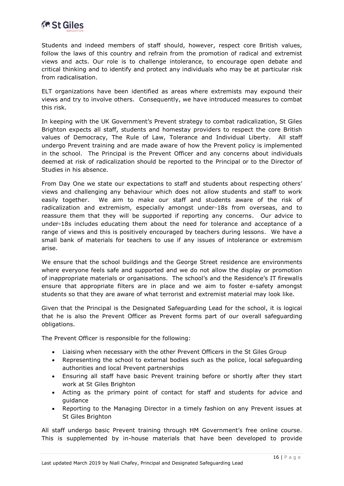

Students and indeed members of staff should, however, respect core British values, follow the laws of this country and refrain from the promotion of radical and extremist views and acts. Our role is to challenge intolerance, to encourage open debate and critical thinking and to identify and protect any individuals who may be at particular risk from radicalisation.

ELT organizations have been identified as areas where extremists may expound their views and try to involve others. Consequently, we have introduced measures to combat this risk.

In keeping with the UK Government's Prevent strategy to combat radicalization, St Giles Brighton expects all staff, students and homestay providers to respect the core British values of Democracy, The Rule of Law, Tolerance and Individual Liberty. All staff undergo Prevent training and are made aware of how the Prevent policy is implemented in the school. The Principal is the Prevent Officer and any concerns about individuals deemed at risk of radicalization should be reported to the Principal or to the Director of Studies in his absence.

From Day One we state our expectations to staff and students about respecting others' views and challenging any behaviour which does not allow students and staff to work easily together. We aim to make our staff and students aware of the risk of radicalization and extremism, especially amongst under-18s from overseas, and to reassure them that they will be supported if reporting any concerns. Our advice to under-18s includes educating them about the need for tolerance and acceptance of a range of views and this is positively encouraged by teachers during lessons. We have a small bank of materials for teachers to use if any issues of intolerance or extremism arise.

We ensure that the school buildings and the George Street residence are environments where everyone feels safe and supported and we do not allow the display or promotion of inappropriate materials or organisations. The school's and the Residence's IT firewalls ensure that appropriate filters are in place and we aim to foster e-safety amongst students so that they are aware of what terrorist and extremist material may look like.

Given that the Principal is the Designated Safeguarding Lead for the school, it is logical that he is also the Prevent Officer as Prevent forms part of our overall safeguarding obligations.

The Prevent Officer is responsible for the following:

- Liaising when necessary with the other Prevent Officers in the St Giles Group
- Representing the school to external bodies such as the police, local safeguarding authorities and local Prevent partnerships
- Ensuring all staff have basic Prevent training before or shortly after they start work at St Giles Brighton
- Acting as the primary point of contact for staff and students for advice and guidance
- Reporting to the Managing Director in a timely fashion on any Prevent issues at St Giles Brighton

All staff undergo basic Prevent training through HM Government's free online course. This is supplemented by in-house materials that have been developed to provide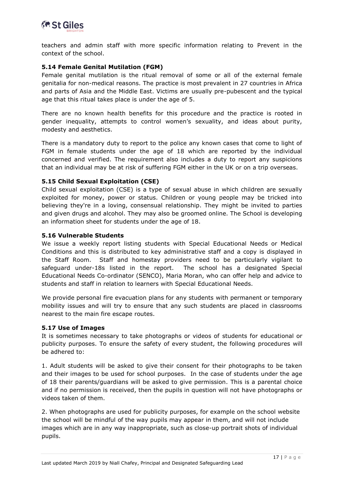

teachers and admin staff with more specific information relating to Prevent in the context of the school.

#### <span id="page-16-0"></span>**5.14 Female Genital Mutilation (FGM)**

Female genital mutilation is the ritual removal of some or all of the external female genitalia for non-medical reasons. The practice is most prevalent in 27 countries in Africa and parts of Asia and the Middle East. Victims are usually pre-pubescent and the typical age that this ritual takes place is under the age of 5.

There are no known health benefits for this procedure and the practice is rooted in gender inequality, attempts to control women's sexuality, and ideas about purity, modesty and aesthetics.

There is a mandatory duty to report to the police any known cases that come to light of FGM in female students under the age of 18 which are reported by the individual concerned and verified. The requirement also includes a duty to report any suspicions that an individual may be at risk of suffering FGM either in the UK or on a trip overseas.

#### <span id="page-16-1"></span>**5.15 Child Sexual Exploitation (CSE)**

Child sexual exploitation (CSE) is a type of sexual abuse in which children are sexually exploited for money, power or status. Children or young people may be tricked into believing they're in a loving, consensual relationship. They might be invited to parties and given drugs and alcohol. They may also be groomed online. The School is developing an information sheet for students under the age of 18.

#### <span id="page-16-2"></span>**5.16 Vulnerable Students**

We issue a weekly report listing students with Special Educational Needs or Medical Conditions and this is distributed to key administrative staff and a copy is displayed in the Staff Room. Staff and homestay providers need to be particularly vigilant to safeguard under-18s listed in the report. The school has a designated Special Educational Needs Co-ordinator (SENCO), Maria Moran, who can offer help and advice to students and staff in relation to learners with Special Educational Needs.

We provide personal fire evacuation plans for any students with permanent or temporary mobility issues and will try to ensure that any such students are placed in classrooms nearest to the main fire escape routes.

#### <span id="page-16-3"></span>**5.17 Use of Images**

It is sometimes necessary to take photographs or videos of students for educational or publicity purposes. To ensure the safety of every student, the following procedures will be adhered to:

1. Adult students will be asked to give their consent for their photographs to be taken and their images to be used for school purposes. In the case of students under the age of 18 their parents/guardians will be asked to give permission. This is a parental choice and if no permission is received, then the pupils in question will not have photographs or videos taken of them.

2. When photographs are used for publicity purposes, for example on the school website the school will be mindful of the way pupils may appear in them, and will not include images which are in any way inappropriate, such as close-up portrait shots of individual pupils.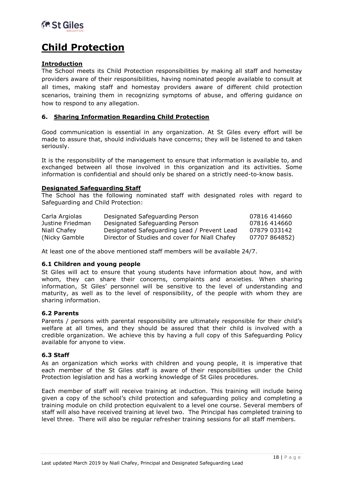

### **Child Protection**

#### **Introduction**

The School meets its Child Protection responsibilities by making all staff and homestay providers aware of their responsibilities, having nominated people available to consult at all times, making staff and homestay providers aware of different child protection scenarios, training them in recognizing symptoms of abuse, and offering guidance on how to respond to any allegation.

#### <span id="page-17-0"></span>**6. Sharing Information Regarding Child Protection**

Good communication is essential in any organization. At St Giles every effort will be made to assure that, should individuals have concerns; they will be listened to and taken seriously.

It is the responsibility of the management to ensure that information is available to, and exchanged between all those involved in this organization and its activities. Some information is confidential and should only be shared on a strictly need-to-know basis.

#### **Designated Safeguarding Staff**

The School has the following nominated staff with designated roles with regard to Safeguarding and Child Protection:

| Carla Argiolas   | Designated Safeguarding Person                 | 07816 414660  |
|------------------|------------------------------------------------|---------------|
| Justine Friedman | Designated Safeguarding Person                 | 07816 414660  |
| Niall Chafey     | Designated Safeguarding Lead / Prevent Lead    | 07879 033142  |
| (Nicky Gamble)   | Director of Studies and cover for Niall Chafey | 07707 864852) |

At least one of the above mentioned staff members will be available 24/7.

#### <span id="page-17-1"></span>**6.1 Children and young people**

St Giles will act to ensure that young students have information about how, and with whom, they can share their concerns, complaints and anxieties. When sharing information, St Giles' personnel will be sensitive to the level of understanding and maturity, as well as to the level of responsibility, of the people with whom they are sharing information.

#### <span id="page-17-2"></span>**6.2 Parents**

Parents / persons with parental responsibility are ultimately responsible for their child's welfare at all times, and they should be assured that their child is involved with a credible organization. We achieve this by having a full copy of this Safeguarding Policy available for anyone to view.

#### <span id="page-17-3"></span>**6.3 Staff**

As an organization which works with children and young people, it is imperative that each member of the St Giles staff is aware of their responsibilities under the Child Protection legislation and has a working knowledge of St Giles procedures.

Each member of staff will receive training at induction. This training will include being given a copy of the school's child protection and safeguarding policy and completing a training module on child protection equivalent to a level one course. Several members of staff will also have received training at level two. The Principal has completed training to level three. There will also be regular refresher training sessions for all staff members.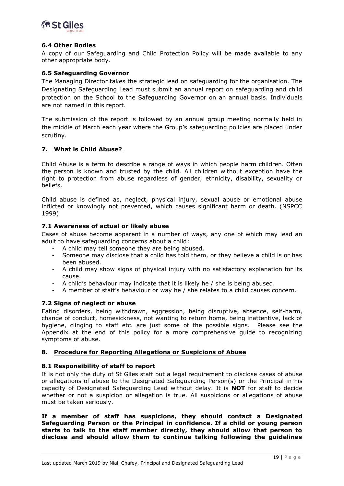

#### <span id="page-18-0"></span>**6.4 Other Bodies**

A copy of our Safeguarding and Child Protection Policy will be made available to any other appropriate body.

#### <span id="page-18-1"></span>**6.5 Safeguarding Governor**

The Managing Director takes the strategic lead on safeguarding for the organisation. The Designating Safeguarding Lead must submit an annual report on safeguarding and child protection on the School to the Safeguarding Governor on an annual basis. Individuals are not named in this report.

The submission of the report is followed by an annual group meeting normally held in the middle of March each year where the Group's safeguarding policies are placed under scrutiny.

#### <span id="page-18-2"></span>**7. What is Child Abuse?**

Child Abuse is a term to describe a range of ways in which people harm children. Often the person is known and trusted by the child. All children without exception have the right to protection from abuse regardless of gender, ethnicity, disability, sexuality or beliefs.

Child abuse is defined as, neglect, physical injury, sexual abuse or emotional abuse inflicted or knowingly not prevented, which causes significant harm or death. (NSPCC 1999)

#### <span id="page-18-3"></span>**7.1 Awareness of actual or likely abuse**

Cases of abuse become apparent in a number of ways, any one of which may lead an adult to have safeguarding concerns about a child:

- A child may tell someone they are being abused.
- Someone may disclose that a child has told them, or they believe a child is or has been abused.
- A child may show signs of physical injury with no satisfactory explanation for its cause.
- A child's behaviour may indicate that it is likely he / she is being abused.
- A member of staff's behaviour or way he / she relates to a child causes concern.

#### <span id="page-18-4"></span>**7.2 Signs of neglect or abuse**

Eating disorders, being withdrawn, aggression, being disruptive, absence, self-harm, change of conduct, homesickness, not wanting to return home, being inattentive, lack of hygiene, clinging to staff etc. are just some of the possible signs. Please see the Appendix at the end of this policy for a more comprehensive guide to recognizing symptoms of abuse.

#### <span id="page-18-5"></span>**8. Procedure for Reporting Allegations or Suspicions of Abuse**

#### <span id="page-18-6"></span>**8.1 Responsibility of staff to report**

It is not only the duty of St Giles staff but a legal requirement to disclose cases of abuse or allegations of abuse to the Designated Safeguarding Person(s) or the Principal in his capacity of Designated Safeguarding Lead without delay. It is **NOT** for staff to decide whether or not a suspicion or allegation is true. All suspicions or allegations of abuse must be taken seriously.

**If a member of staff has suspicions, they should contact a Designated Safeguarding Person or the Principal in confidence. If a child or young person starts to talk to the staff member directly, they should allow that person to disclose and should allow them to continue talking following the guidelines**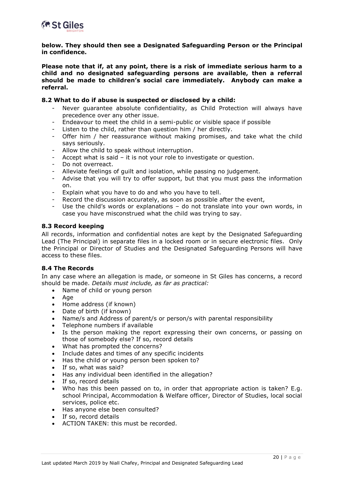

**below. They should then see a Designated Safeguarding Person or the Principal in confidence.**

**Please note that if, at any point, there is a risk of immediate serious harm to a child and no designated safeguarding persons are available, then a referral should be made to children's social care immediately. Anybody can make a referral.**

#### <span id="page-19-0"></span>**8.2 What to do if abuse is suspected or disclosed by a child:**

- Never quarantee absolute confidentiality, as Child Protection will always have precedence over any other issue.
- Endeavour to meet the child in a semi-public or visible space if possible
- Listen to the child, rather than question him / her directly.
- Offer him / her reassurance without making promises, and take what the child says seriously.
- Allow the child to speak without interruption.
- Accept what is said it is not your role to investigate or question.
- Do not overreact.
- Alleviate feelings of quilt and isolation, while passing no judgement.
- Advise that you will try to offer support, but that you must pass the information on.
- Explain what you have to do and who you have to tell.
- Record the discussion accurately, as soon as possible after the event,
- Use the child's words or explanations  $-$  do not translate into your own words, in case you have misconstrued what the child was trying to say.

#### <span id="page-19-1"></span>**8.3 Record keeping**

All records, information and confidential notes are kept by the Designated Safeguarding Lead (The Principal) in separate files in a locked room or in secure electronic files. Only the Principal or Director of Studies and the Designated Safeguarding Persons will have access to these files.

#### <span id="page-19-2"></span>**8.4 The Records**

In any case where an allegation is made, or someone in St Giles has concerns, a record should be made. *Details must include, as far as practical:*

- Name of child or young person
- Age
- Home address (if known)
- Date of birth (if known)
- Name/s and Address of parent/s or person/s with parental responsibility
- Telephone numbers if available
- Is the person making the report expressing their own concerns, or passing on those of somebody else? If so, record details
- What has prompted the concerns?
- Include dates and times of any specific incidents
- Has the child or young person been spoken to?
- If so, what was said?
- Has any individual been identified in the allegation?
- If so, record details
- Who has this been passed on to, in order that appropriate action is taken? E.g. school Principal, Accommodation & Welfare officer, Director of Studies, local social services, police etc.
- Has anyone else been consulted?
- If so, record details
- ACTION TAKEN: this must be recorded.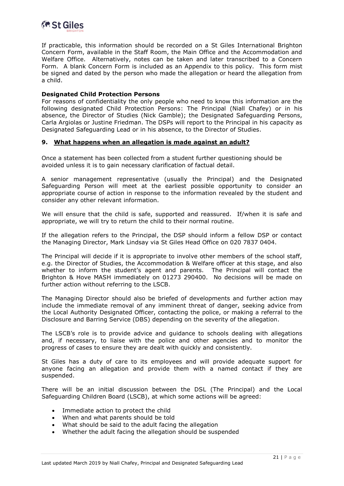

If practicable, this information should be recorded on a St Giles International Brighton Concern Form, available in the Staff Room, the Main Office and the Accommodation and Welfare Office. Alternatively, notes can be taken and later transcribed to a Concern Form. A blank Concern Form is included as an Appendix to this policy. This form mist be signed and dated by the person who made the allegation or heard the allegation from a child.

#### **Designated Child Protection Persons**

For reasons of confidentiality the only people who need to know this information are the following designated Child Protection Persons: The Principal (Niall Chafey) or in his absence, the Director of Studies (Nick Gamble); the Designated Safeguarding Persons, Carla Argiolas or Justine Friedman. The DSPs will report to the Principal in his capacity as Designated Safeguarding Lead or in his absence, to the Director of Studies.

#### <span id="page-20-0"></span>**9. What happens when an allegation is made against an adult?**

Once a statement has been collected from a student further questioning should be avoided unless it is to gain necessary clarification of factual detail.

A senior management representative (usually the Principal) and the Designated Safeguarding Person will meet at the earliest possible opportunity to consider an appropriate course of action in response to the information revealed by the student and consider any other relevant information.

We will ensure that the child is safe, supported and reassured. If/when it is safe and appropriate, we will try to return the child to their normal routine.

If the allegation refers to the Principal, the DSP should inform a fellow DSP or contact the Managing Director, Mark Lindsay via St Giles Head Office on 020 7837 0404.

The Principal will decide if it is appropriate to involve other members of the school staff, e.g. the Director of Studies, the Accommodation & Welfare officer at this stage, and also whether to inform the student's agent and parents. The Principal will contact the Brighton & Hove MASH immediately on 01273 290400. No decisions will be made on further action without referring to the LSCB.

The Managing Director should also be briefed of developments and further action may include the immediate removal of any imminent threat of danger, seeking advice from the Local Authority Designated Officer, contacting the police, or making a referral to the Disclosure and Barring Service (DBS) depending on the severity of the allegation.

The LSCB's role is to provide advice and guidance to schools dealing with allegations and, if necessary, to liaise with the police and other agencies and to monitor the progress of cases to ensure they are dealt with quickly and consistently.

St Giles has a duty of care to its employees and will provide adequate support for anyone facing an allegation and provide them with a named contact if they are suspended.

There will be an initial discussion between the DSL (The Principal) and the Local Safeguarding Children Board (LSCB), at which some actions will be agreed:

- Immediate action to protect the child
- When and what parents should be told
- What should be said to the adult facing the allegation
- Whether the adult facing the allegation should be suspended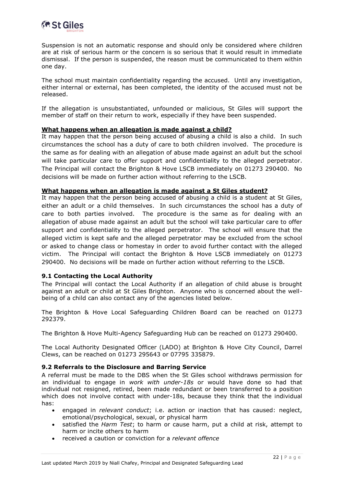

Suspension is not an automatic response and should only be considered where children are at risk of serious harm or the concern is so serious that it would result in immediate dismissal. If the person is suspended, the reason must be communicated to them within one day.

The school must maintain confidentiality regarding the accused. Until any investigation, either internal or external, has been completed, the identity of the accused must not be released.

If the allegation is unsubstantiated, unfounded or malicious, St Giles will support the member of staff on their return to work, especially if they have been suspended.

#### **What happens when an allegation is made against a child?**

It may happen that the person being accused of abusing a child is also a child. In such circumstances the school has a duty of care to both children involved. The procedure is the same as for dealing with an allegation of abuse made against an adult but the school will take particular care to offer support and confidentiality to the alleged perpetrator. The Principal will contact the Brighton & Hove LSCB immediately on 01273 290400. No decisions will be made on further action without referring to the LSCB.

#### **What happens when an allegation is made against a St Giles student?**

It may happen that the person being accused of abusing a child is a student at St Giles, either an adult or a child themselves. In such circumstances the school has a duty of care to both parties involved. The procedure is the same as for dealing with an allegation of abuse made against an adult but the school will take particular care to offer support and confidentiality to the alleged perpetrator. The school will ensure that the alleged victim is kept safe and the alleged perpetrator may be excluded from the school or asked to change class or homestay in order to avoid further contact with the alleged victim. The Principal will contact the Brighton & Hove LSCB immediately on 01273 290400. No decisions will be made on further action without referring to the LSCB.

#### <span id="page-21-0"></span>**9.1 Contacting the Local Authority**

The Principal will contact the Local Authority if an allegation of child abuse is brought against an adult or child at St Giles Brighton. Anyone who is concerned about the wellbeing of a child can also contact any of the agencies listed below.

The Brighton & Hove Local Safeguarding Children Board can be reached on 01273 292379.

The Brighton & Hove Multi-Agency Safeguarding Hub can be reached on 01273 290400.

The Local Authority Designated Officer (LADO) at Brighton & Hove City Council, Darrel Clews, can be reached on 01273 295643 or 07795 335879.

#### <span id="page-21-1"></span>**9.2 Referrals to the Disclosure and Barring Service**

A referral must be made to the DBS when the St Giles school withdraws permission for an individual to engage in *work with under-18s* or would have done so had that individual not resigned, retired, been made redundant or been transferred to a position which does not involve contact with under-18s, because they think that the individual has:

- engaged in *relevant conduct*; i.e. action or inaction that has caused: neglect, emotional/psychological, sexual, or physical harm
- satisfied the *Harm Test*; to harm or cause harm, put a child at risk, attempt to harm or incite others to harm
- received a caution or conviction for a *relevant offence*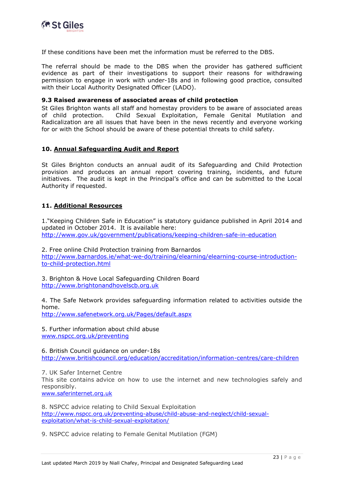

If these conditions have been met the information must be referred to the DBS.

The referral should be made to the DBS when the provider has gathered sufficient evidence as part of their investigations to support their reasons for withdrawing permission to engage in work with under-18s and in following good practice, consulted with their Local Authority Designated Officer (LADO).

#### <span id="page-22-0"></span>**9.3 Raised awareness of associated areas of child protection**

St Giles Brighton wants all staff and homestay providers to be aware of associated areas of child protection. Child Sexual Exploitation, Female Genital Mutilation and Radicalization are all issues that have been in the news recently and everyone working for or with the School should be aware of these potential threats to child safety.

#### <span id="page-22-1"></span>**10. Annual Safeguarding Audit and Report**

St Giles Brighton conducts an annual audit of its Safeguarding and Child Protection provision and produces an annual report covering training, incidents, and future initiatives. The audit is kept in the Principal's office and can be submitted to the Local Authority if requested.

#### <span id="page-22-2"></span>**11. Additional Resources**

1."Keeping Children Safe in Education" is statutory guidance published in April 2014 and updated in October 2014. It is available here: <http://www.gov.uk/government/publications/keeping-children-safe-in-education>

2. Free online Child Protection training from Barnardos [http://www.barnardos.ie/what-we-do/training/elearning/elearning-course-introduction](http://www.barnardos.ie/what-we-do/training/elearning/elearning-course-introduction-to-child-protection.html)[to-child-protection.html](http://www.barnardos.ie/what-we-do/training/elearning/elearning-course-introduction-to-child-protection.html)

3. Brighton & Hove Local Safeguarding Children Board [http://www.brightonandhovelscb.org.uk](http://www.brightonandhovelscb.org.uk/)

4. The Safe Network provides safeguarding information related to activities outside the home.

<http://www.safenetwork.org.uk/Pages/default.aspx>

5. Further information about child abuse [www.nspcc.org.uk/preventing](http://www.nspcc.org.uk/preventing)

6. British Council guidance on under-18s <http://www.britishcouncil.org/education/accreditation/information-centres/care-children>

7. UK Safer Internet Centre This site contains advice on how to use the internet and new technologies safely and responsibly. [www.saferinternet.org.uk](http://www.saferinternet.org.uk/)

8. NSPCC advice relating to Child Sexual Exploitation [http://www.nspcc.org.uk/preventing-abuse/child-abuse-and-neglect/child-sexual](http://www.nspcc.org.uk/preventing-abuse/child-abuse-and-neglect/child-sexual-exploitation/what-is-child-sexual-exploitation/)[exploitation/what-is-child-sexual-exploitation/](http://www.nspcc.org.uk/preventing-abuse/child-abuse-and-neglect/child-sexual-exploitation/what-is-child-sexual-exploitation/)

9. NSPCC advice relating to Female Genital Mutilation (FGM)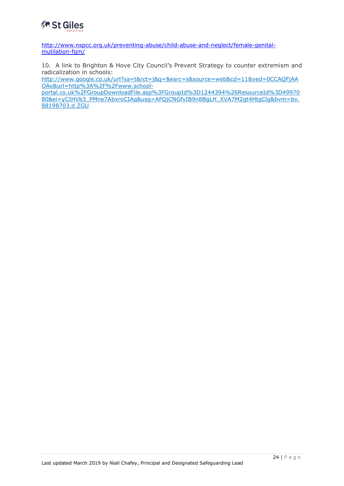

[http://www.nspcc.org.uk/preventing-abuse/child-abuse-and-neglect/female-genital](http://www.nspcc.org.uk/preventing-abuse/child-abuse-and-neglect/female-genital-mutilation-fgm/)[mutilation-fgm/](http://www.nspcc.org.uk/preventing-abuse/child-abuse-and-neglect/female-genital-mutilation-fgm/)

10. A link to Brighton & Hove City Council's Prevent Strategy to counter extremism and radicalization in schools:

[http://www.google.co.uk/url?sa=t&rct=j&q=&esrc=s&source=web&cd=11&ved=0CCAQFjAA](http://www.google.co.uk/url?sa=t&rct=j&q=&esrc=s&source=web&cd=11&ved=0CCAQFjAAOAo&url=http%3A%2F%2Fwww.school-portal.co.uk%2FGroupDownloadFile.asp%3FGroupId%3D1244394%26ResourceId%3D4997080&ei=yCIHVb3_PMne7AbxroCIAg&usg=AFQjCNGfvIB9n8BgLH_XVA7M2gt4HtgClg&bvm=bv.88198703,d.ZGU) [OAo&url=http%3A%2F%2Fwww.school-](http://www.google.co.uk/url?sa=t&rct=j&q=&esrc=s&source=web&cd=11&ved=0CCAQFjAAOAo&url=http%3A%2F%2Fwww.school-portal.co.uk%2FGroupDownloadFile.asp%3FGroupId%3D1244394%26ResourceId%3D4997080&ei=yCIHVb3_PMne7AbxroCIAg&usg=AFQjCNGfvIB9n8BgLH_XVA7M2gt4HtgClg&bvm=bv.88198703,d.ZGU)

[portal.co.uk%2FGroupDownloadFile.asp%3FGroupId%3D1244394%26ResourceId%3D49970](http://www.google.co.uk/url?sa=t&rct=j&q=&esrc=s&source=web&cd=11&ved=0CCAQFjAAOAo&url=http%3A%2F%2Fwww.school-portal.co.uk%2FGroupDownloadFile.asp%3FGroupId%3D1244394%26ResourceId%3D4997080&ei=yCIHVb3_PMne7AbxroCIAg&usg=AFQjCNGfvIB9n8BgLH_XVA7M2gt4HtgClg&bvm=bv.88198703,d.ZGU) [80&ei=yCIHVb3\\_PMne7AbxroCIAg&usg=AFQjCNGfvIB9n8BgLH\\_XVA7M2gt4HtgClg&bvm=bv.](http://www.google.co.uk/url?sa=t&rct=j&q=&esrc=s&source=web&cd=11&ved=0CCAQFjAAOAo&url=http%3A%2F%2Fwww.school-portal.co.uk%2FGroupDownloadFile.asp%3FGroupId%3D1244394%26ResourceId%3D4997080&ei=yCIHVb3_PMne7AbxroCIAg&usg=AFQjCNGfvIB9n8BgLH_XVA7M2gt4HtgClg&bvm=bv.88198703,d.ZGU) [88198703,d.ZGU](http://www.google.co.uk/url?sa=t&rct=j&q=&esrc=s&source=web&cd=11&ved=0CCAQFjAAOAo&url=http%3A%2F%2Fwww.school-portal.co.uk%2FGroupDownloadFile.asp%3FGroupId%3D1244394%26ResourceId%3D4997080&ei=yCIHVb3_PMne7AbxroCIAg&usg=AFQjCNGfvIB9n8BgLH_XVA7M2gt4HtgClg&bvm=bv.88198703,d.ZGU)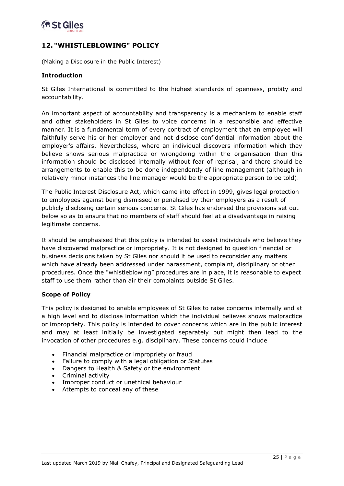

#### <span id="page-24-0"></span>**12. "WHISTLEBLOWING" POLICY**

(Making a Disclosure in the Public Interest)

#### **Introduction**

St Giles International is committed to the highest standards of openness, probity and accountability.

An important aspect of accountability and transparency is a mechanism to enable staff and other stakeholders in St Giles to voice concerns in a responsible and effective manner. It is a fundamental term of every contract of employment that an employee will faithfully serve his or her employer and not disclose confidential information about the employer's affairs. Nevertheless, where an individual discovers information which they believe shows serious malpractice or wrongdoing within the organisation then this information should be disclosed internally without fear of reprisal, and there should be arrangements to enable this to be done independently of line management (although in relatively minor instances the line manager would be the appropriate person to be told).

The Public Interest Disclosure Act, which came into effect in 1999, gives legal protection to employees against being dismissed or penalised by their employers as a result of publicly disclosing certain serious concerns. St Giles has endorsed the provisions set out below so as to ensure that no members of staff should feel at a disadvantage in raising legitimate concerns.

It should be emphasised that this policy is intended to assist individuals who believe they have discovered malpractice or impropriety. It is not designed to question financial or business decisions taken by St Giles nor should it be used to reconsider any matters which have already been addressed under harassment, complaint, disciplinary or other procedures. Once the "whistleblowing" procedures are in place, it is reasonable to expect staff to use them rather than air their complaints outside St Giles.

#### **Scope of Policy**

This policy is designed to enable employees of St Giles to raise concerns internally and at a high level and to disclose information which the individual believes shows malpractice or impropriety. This policy is intended to cover concerns which are in the public interest and may at least initially be investigated separately but might then lead to the invocation of other procedures e.g. disciplinary. These concerns could include

- Financial malpractice or impropriety or fraud
- Failure to comply with a legal obligation or Statutes
- Dangers to Health & Safety or the environment
- Criminal activity
- Improper conduct or unethical behaviour
- Attempts to conceal any of these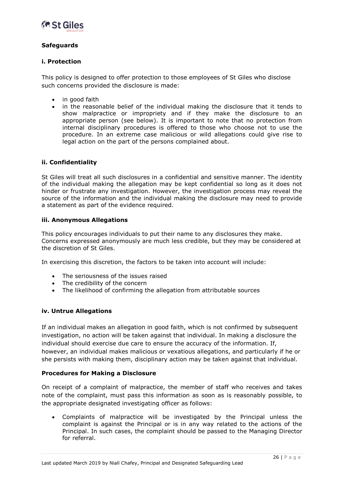

#### **Safeguards**

#### **i. Protection**

This policy is designed to offer protection to those employees of St Giles who disclose such concerns provided the disclosure is made:

- in good faith
- in the reasonable belief of the individual making the disclosure that it tends to show malpractice or impropriety and if they make the disclosure to an appropriate person (see below). It is important to note that no protection from internal disciplinary procedures is offered to those who choose not to use the procedure. In an extreme case malicious or wild allegations could give rise to legal action on the part of the persons complained about.

#### **ii. Confidentiality**

St Giles will treat all such disclosures in a confidential and sensitive manner. The identity of the individual making the allegation may be kept confidential so long as it does not hinder or frustrate any investigation. However, the investigation process may reveal the source of the information and the individual making the disclosure may need to provide a statement as part of the evidence required.

#### **iii. Anonymous Allegations**

This policy encourages individuals to put their name to any disclosures they make. Concerns expressed anonymously are much less credible, but they may be considered at the discretion of St Giles.

In exercising this discretion, the factors to be taken into account will include:

- The seriousness of the issues raised
- The credibility of the concern
- The likelihood of confirming the allegation from attributable sources

#### **iv. Untrue Allegations**

If an individual makes an allegation in good faith, which is not confirmed by subsequent investigation, no action will be taken against that individual. In making a disclosure the individual should exercise due care to ensure the accuracy of the information. If, however, an individual makes malicious or vexatious allegations, and particularly if he or she persists with making them, disciplinary action may be taken against that individual.

#### **Procedures for Making a Disclosure**

On receipt of a complaint of malpractice, the member of staff who receives and takes note of the complaint, must pass this information as soon as is reasonably possible, to the appropriate designated investigating officer as follows:

 Complaints of malpractice will be investigated by the Principal unless the complaint is against the Principal or is in any way related to the actions of the Principal. In such cases, the complaint should be passed to the Managing Director for referral.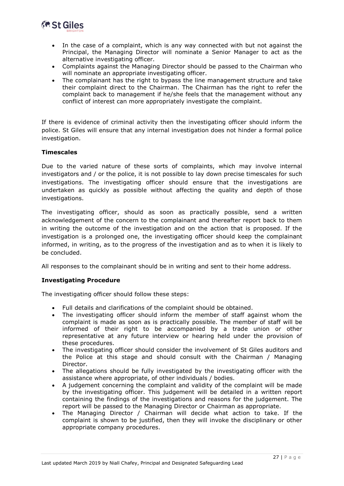

- In the case of a complaint, which is any way connected with but not against the Principal, the Managing Director will nominate a Senior Manager to act as the alternative investigating officer.
- Complaints against the Managing Director should be passed to the Chairman who will nominate an appropriate investigating officer.
- The complainant has the right to bypass the line management structure and take their complaint direct to the Chairman. The Chairman has the right to refer the complaint back to management if he/she feels that the management without any conflict of interest can more appropriately investigate the complaint.

If there is evidence of criminal activity then the investigating officer should inform the police. St Giles will ensure that any internal investigation does not hinder a formal police investigation.

#### **Timescales**

Due to the varied nature of these sorts of complaints, which may involve internal investigators and / or the police, it is not possible to lay down precise timescales for such investigations. The investigating officer should ensure that the investigations are undertaken as quickly as possible without affecting the quality and depth of those investigations.

The investigating officer, should as soon as practically possible, send a written acknowledgement of the concern to the complainant and thereafter report back to them in writing the outcome of the investigation and on the action that is proposed. If the investigation is a prolonged one, the investigating officer should keep the complainant informed, in writing, as to the progress of the investigation and as to when it is likely to be concluded.

All responses to the complainant should be in writing and sent to their home address.

#### **Investigating Procedure**

The investigating officer should follow these steps:

- Full details and clarifications of the complaint should be obtained.
- The investigating officer should inform the member of staff against whom the complaint is made as soon as is practically possible. The member of staff will be informed of their right to be accompanied by a trade union or other representative at any future interview or hearing held under the provision of these procedures.
- The investigating officer should consider the involvement of St Giles auditors and the Police at this stage and should consult with the Chairman / Managing Director.
- The allegations should be fully investigated by the investigating officer with the assistance where appropriate, of other individuals / bodies.
- A judgement concerning the complaint and validity of the complaint will be made by the investigating officer. This judgement will be detailed in a written report containing the findings of the investigations and reasons for the judgement. The report will be passed to the Managing Director or Chairman as appropriate.
- The Managing Director / Chairman will decide what action to take. If the complaint is shown to be justified, then they will invoke the disciplinary or other appropriate company procedures.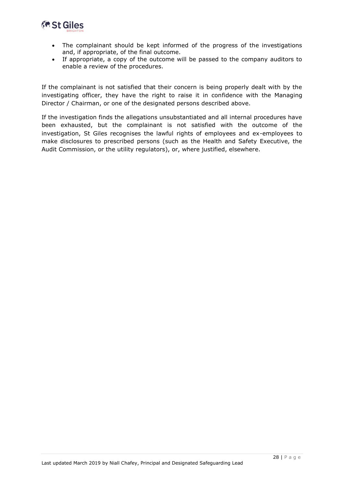

- The complainant should be kept informed of the progress of the investigations and, if appropriate, of the final outcome.
- If appropriate, a copy of the outcome will be passed to the company auditors to enable a review of the procedures.

If the complainant is not satisfied that their concern is being properly dealt with by the investigating officer, they have the right to raise it in confidence with the Managing Director / Chairman, or one of the designated persons described above.

If the investigation finds the allegations unsubstantiated and all internal procedures have been exhausted, but the complainant is not satisfied with the outcome of the investigation, St Giles recognises the lawful rights of employees and ex-employees to make disclosures to prescribed persons (such as the Health and Safety Executive, the Audit Commission, or the utility regulators), or, where justified, elsewhere.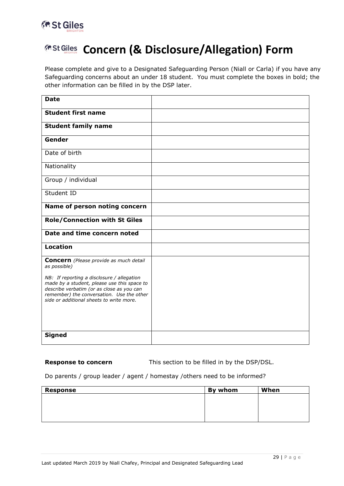

## **Concern (& Disclosure/Allegation) Form**

Please complete and give to a Designated Safeguarding Person (Niall or Carla) if you have any Safeguarding concerns about an under 18 student. You must complete the boxes in bold; the other information can be filled in by the DSP later.

| <b>Date</b>                                                                                                                                                                                                                     |  |
|---------------------------------------------------------------------------------------------------------------------------------------------------------------------------------------------------------------------------------|--|
| <b>Student first name</b>                                                                                                                                                                                                       |  |
| <b>Student family name</b>                                                                                                                                                                                                      |  |
| Gender                                                                                                                                                                                                                          |  |
| Date of birth                                                                                                                                                                                                                   |  |
| Nationality                                                                                                                                                                                                                     |  |
| Group / individual                                                                                                                                                                                                              |  |
| Student ID                                                                                                                                                                                                                      |  |
| Name of person noting concern                                                                                                                                                                                                   |  |
| <b>Role/Connection with St Giles</b>                                                                                                                                                                                            |  |
| Date and time concern noted                                                                                                                                                                                                     |  |
| <b>Location</b>                                                                                                                                                                                                                 |  |
| <b>Concern</b> (Please provide as much detail<br>as possible)                                                                                                                                                                   |  |
| NB: If reporting a disclosure / allegation<br>made by a student, please use this space to<br>describe verbatim (or as close as you can<br>remember) the conversation. Use the other<br>side or additional sheets to write more. |  |
| <b>Signed</b>                                                                                                                                                                                                                   |  |

**Response to concern** This section to be filled in by the DSP/DSL.

#### Do parents / group leader / agent / homestay /others need to be informed?

| <b>Response</b> | By whom | When |
|-----------------|---------|------|
|                 |         |      |
|                 |         |      |
|                 |         |      |
|                 |         |      |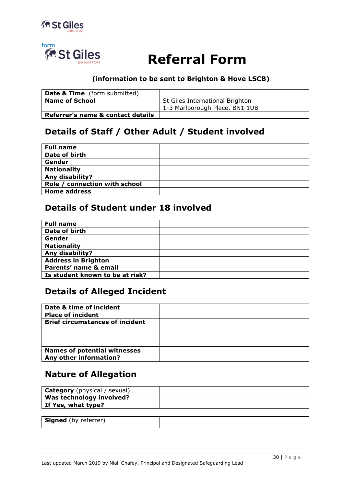



# **Example St Giles Referral Form**

#### **(information to be sent to Brighton & Hove LSCB)**

| <b>Date &amp; Time</b> (form submitted) |                                                                   |
|-----------------------------------------|-------------------------------------------------------------------|
| <b>Name of School</b>                   | St Giles International Brighton<br>1-3 Marlborough Place, BN1 1UB |
| Referrer's name & contact details       |                                                                   |

### **Details of Staff / Other Adult / Student involved**

| <b>Full name</b>              |  |
|-------------------------------|--|
| Date of birth                 |  |
| Gender                        |  |
| <b>Nationality</b>            |  |
| Any disability?               |  |
| Role / connection with school |  |
| <b>Home address</b>           |  |

#### **Details of Student under 18 involved**

| <b>Full name</b>                |  |
|---------------------------------|--|
| Date of birth                   |  |
| Gender                          |  |
| <b>Nationality</b>              |  |
| Any disability?                 |  |
| <b>Address in Brighton</b>      |  |
| Parents' name & email           |  |
| Is student known to be at risk? |  |

#### **Details of Alleged Incident**

| Date & time of incident                |  |
|----------------------------------------|--|
| <b>Place of incident</b>               |  |
| <b>Brief circumstances of incident</b> |  |
|                                        |  |
|                                        |  |
|                                        |  |
| <b>Names of potential witnesses</b>    |  |
| Any other information?                 |  |

#### **Nature of Allegation**

| <b>Category</b> (physical / sexual) |  |
|-------------------------------------|--|
| Was technology involved?            |  |
| If Yes, what type?                  |  |
|                                     |  |
| <b>Signed</b> (by referrer)         |  |